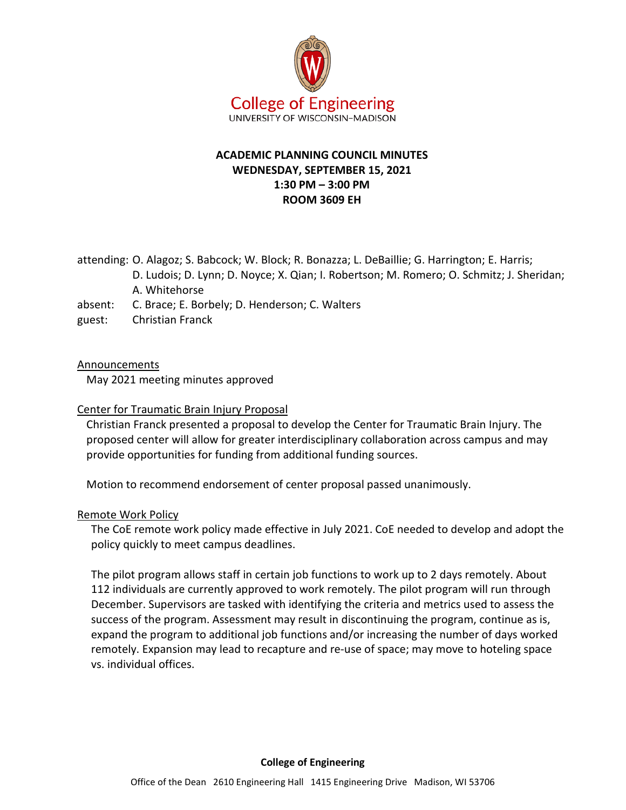

# **ACADEMIC PLANNING COUNCIL MINUTES WEDNESDAY, SEPTEMBER 15, 2021 1:30 PM – 3:00 PM ROOM 3609 EH**

attending: O. Alagoz; S. Babcock; W. Block; R. Bonazza; L. DeBaillie; G. Harrington; E. Harris;

- D. Ludois; D. Lynn; D. Noyce; X. Qian; I. Robertson; M. Romero; O. Schmitz; J. Sheridan; A. Whitehorse
- absent: C. Brace; E. Borbely; D. Henderson; C. Walters
- guest: Christian Franck

## **Announcements**

May 2021 meeting minutes approved

## Center for Traumatic Brain Injury Proposal

Christian Franck presented a proposal to develop the Center for Traumatic Brain Injury. The proposed center will allow for greater interdisciplinary collaboration across campus and may provide opportunities for funding from additional funding sources.

Motion to recommend endorsement of center proposal passed unanimously.

## Remote Work Policy

The CoE remote work policy made effective in July 2021. CoE needed to develop and adopt the policy quickly to meet campus deadlines.

The pilot program allows staff in certain job functions to work up to 2 days remotely. About 112 individuals are currently approved to work remotely. The pilot program will run through December. Supervisors are tasked with identifying the criteria and metrics used to assess the success of the program. Assessment may result in discontinuing the program, continue as is, expand the program to additional job functions and/or increasing the number of days worked remotely. Expansion may lead to recapture and re-use of space; may move to hoteling space vs. individual offices.